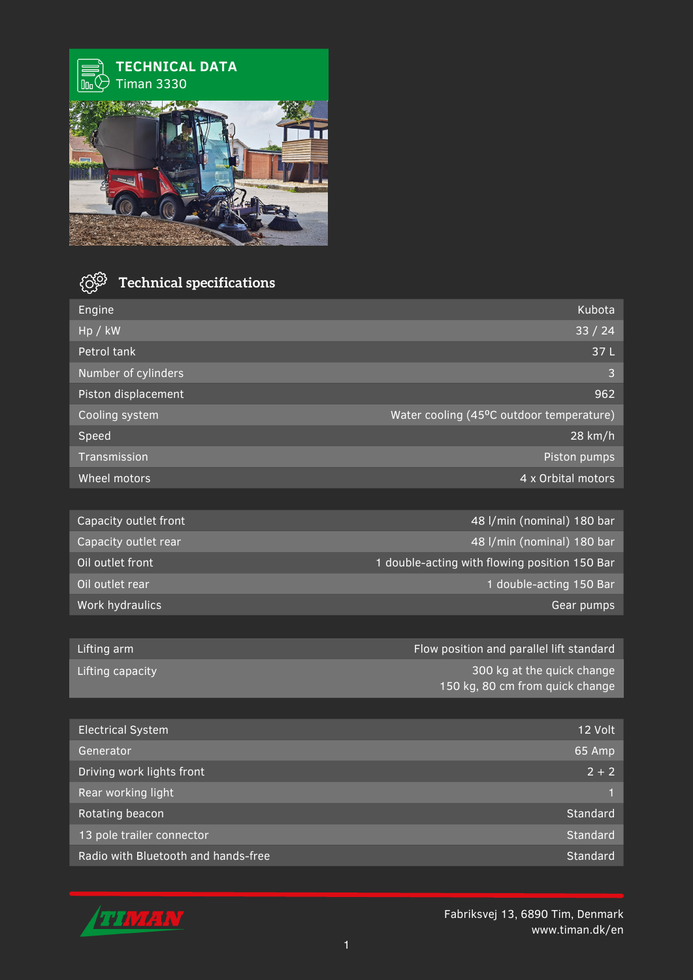

## **ි Technical specifications**

| Engine                    | Kubota                                                        |
|---------------------------|---------------------------------------------------------------|
| Hp / kW                   | 33 / 24                                                       |
| Petrol tank               | 37L                                                           |
| Number of cylinders       | 3                                                             |
| Piston displacement       | 962                                                           |
| Cooling system            | Water cooling (45°C outdoor temperature)                      |
| Speed                     | 28 km/h                                                       |
| Transmission              | Piston pumps                                                  |
| Wheel motors              | 4 x Orbital motors                                            |
|                           |                                                               |
| Capacity outlet front     | 48 I/min (nominal) 180 bar                                    |
| Capacity outlet rear      | 48 l/min (nominal) 180 bar                                    |
| Oil outlet front          | 1 double-acting with flowing position 150 Bar                 |
| Oil outlet rear           | 1 double-acting 150 Bar                                       |
| Work hydraulics           | Gear pumps                                                    |
|                           |                                                               |
| Lifting arm               | Flow position and parallel lift standard                      |
| Lifting capacity          | 300 kg at the quick change<br>150 kg, 80 cm from quick change |
|                           |                                                               |
| <b>Electrical System</b>  | 12 Volt                                                       |
| Generator                 | 65 Amp                                                        |
| Driving work lights front | $2 + 2$                                                       |
| Rear working light        | 1                                                             |
| Rotating beacon           | Standard                                                      |
| 13 pole trailer connector | Standard                                                      |

Radio with Bluetooth and hands-free



Fabriksvej 13, 6890 Tim, Denmark www.timan.dk/en

Standard